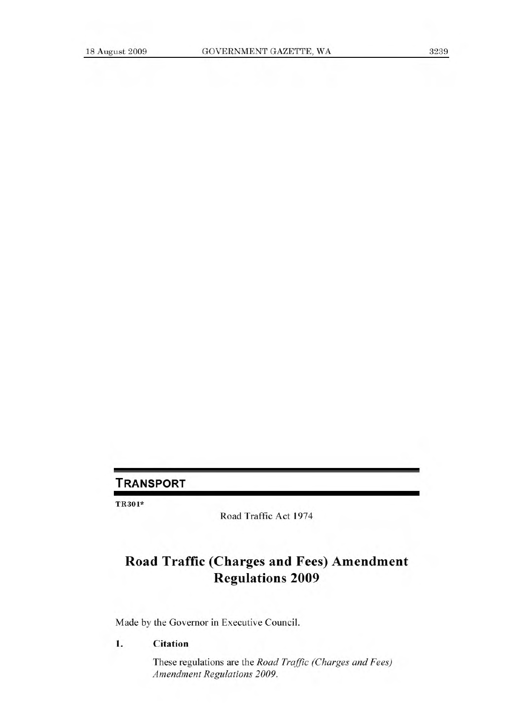# **TRANSPORT**

TR301\*

Road Traffic Act 1974

# **Road Traffic (Charges and Fees) Amendment Regulations 2009**

Made by the Governor in Executive Council.

#### **1. Citation**

These regulations are the *Road Traffic (Charges and Fees) Amendment Regulations 2009.*